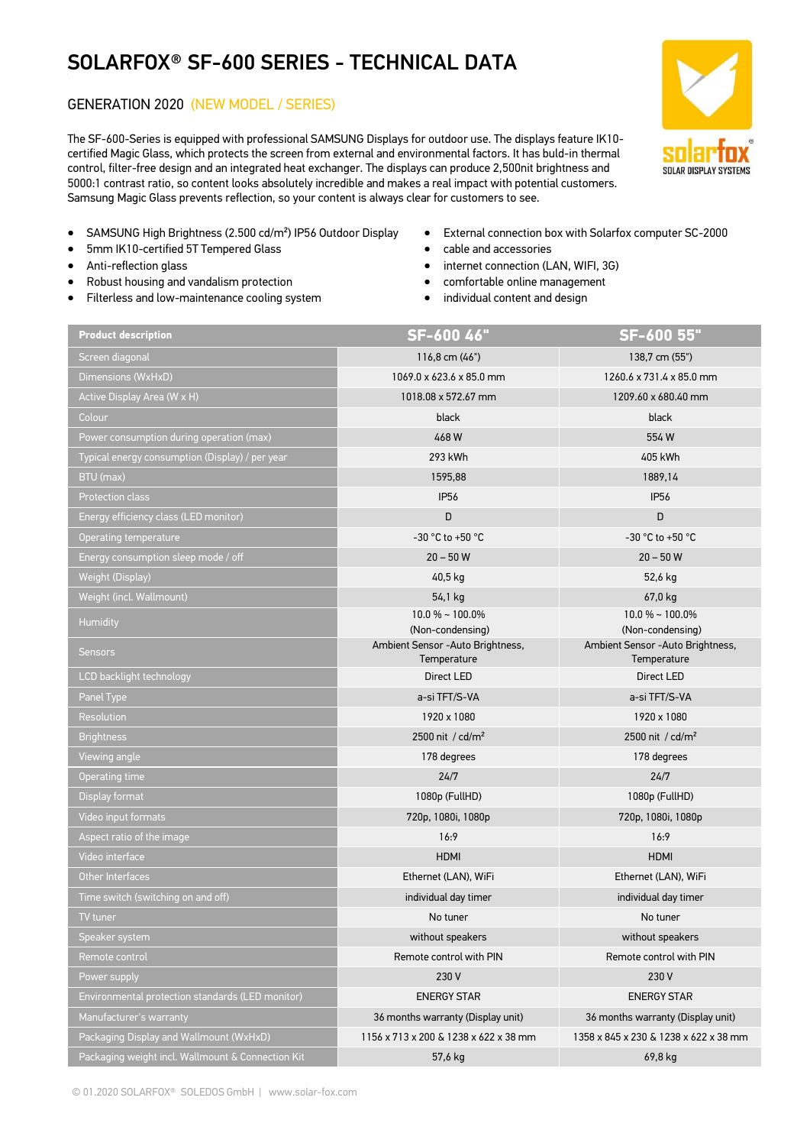## SOLARFOX® SF-600 SERIES - TECHNICAL DATA

## GENERATION 2020 (NEW MODEL / SERIES)

The SF-600-Series is equipped with professional SAMSUNG Displays for outdoor use. The displays feature IK10 certified Magic Glass, which protects the screen from external and environmental factors. It has buld-in thermal control, filter-free design and an integrated heat exchanger. The displays can produce 2,500nit brightness and 5000:1 contrast ratio, so content looks absolutely incredible and makes a real impact with potential customers. Samsung Magic Glass prevents reflection, so your content is always clear for customers to see.



- SAMSUNG High Brightness (2.500 cd/m²) IP56 Outdoor Display
- 5mm IK10-certified 5T Tempered Glass
- Anti-reflection glass
- Robust housing and vandalism protection
- Filterless and low-maintenance cooling system
- External connection box with Solarfox computer SC-2000
- cable and accessories
- internet connection (LAN, WIFI, 3G)
- comfortable online management
- individual content and design

| <b>Product description</b>                        | SF-600 46"                                            | SF-600 55"                                            |
|---------------------------------------------------|-------------------------------------------------------|-------------------------------------------------------|
| Screen diagonal                                   | 116,8 cm (46")                                        | 138,7 cm (55")                                        |
| Dimensions (WxHxD)                                | 1069.0 x 623.6 x 85.0 mm                              | 1260.6 x 731.4 x 85.0 mm                              |
| Active Display Area (W x H)                       | 1018.08 x 572.67 mm                                   | 1209.60 x 680.40 mm                                   |
| Colour                                            | black                                                 | black                                                 |
| Power consumption during operation (max)          | 468W                                                  | 554W                                                  |
| Typical energy consumption (Display) / per year   | 293 kWh                                               | 405 kWh                                               |
| BTU (max)                                         | 1595,88                                               | 1889,14                                               |
| <b>Protection class</b>                           | <b>IP56</b>                                           | <b>IP56</b>                                           |
| Energy efficiency class (LED monitor)             | D                                                     | D                                                     |
| Operating temperature                             | -30 °C to +50 °C                                      | -30 °C to +50 °C                                      |
| Energy consumption sleep mode / off               | $20 - 50 W$                                           | $20 - 50 W$                                           |
| <b>Weight (Display)</b>                           | 40,5 kg                                               | 52,6 kg                                               |
| Weight (incl. Wallmount)                          | 54,1 kg                                               | 67,0 kg                                               |
| Humidity                                          | $10.0\%$ ~ 100.0%                                     | 10.0 % ~ 100.0%                                       |
|                                                   | (Non-condensing)<br>Ambient Sensor - Auto Brightness, | (Non-condensing)<br>Ambient Sensor - Auto Brightness, |
| <b>Sensors</b>                                    | Temperature                                           | Temperature                                           |
| LCD backlight technology                          | Direct LED                                            | Direct LED                                            |
| Panel Type                                        | a-si TFT/S-VA                                         | a-si TFT/S-VA                                         |
| <b>Resolution</b>                                 | 1920 x 1080                                           | 1920 x 1080                                           |
| <b>Brightness</b>                                 | 2500 nit / cd/m <sup>2</sup>                          | 2500 nit / cd/m <sup>2</sup>                          |
| Viewing angle                                     | 178 degrees                                           | 178 degrees                                           |
| Operating time                                    | 24/7                                                  | 24/7                                                  |
| Display format                                    | 1080p (FullHD)                                        | 1080p (FullHD)                                        |
| Video input formats                               | 720p, 1080i, 1080p                                    | 720p, 1080i, 1080p                                    |
| Aspect ratio of the image                         | 16:9                                                  | 16:9                                                  |
| Video interface                                   | <b>HDMI</b>                                           | <b>HDMI</b>                                           |
| Other Interfaces                                  | Ethernet (LAN), WiFi                                  | Ethernet (LAN), WiFi                                  |
| Time switch (switching on and off)                | individual day timer                                  | individual day timer                                  |
| TV tuner                                          | No tuner                                              | No tuner                                              |
| Speaker system                                    | without speakers                                      | without speakers                                      |
| Remote control                                    | Remote control with PIN                               | Remote control with PIN                               |
| Power supply                                      | 230 V                                                 | 230 V                                                 |
| Environmental protection standards (LED monitor)  | <b>ENERGY STAR</b>                                    | <b>ENERGY STAR</b>                                    |
| Manufacturer's warranty                           | 36 months warranty (Display unit)                     | 36 months warranty (Display unit)                     |
| Packaging Display and Wallmount (WxHxD)           | 1156 x 713 x 200 & 1238 x 622 x 38 mm                 | 1358 x 845 x 230 & 1238 x 622 x 38 mm                 |
| Packaging weight incl. Wallmount & Connection Kit | 57,6 kg                                               | 69,8 kg                                               |
|                                                   |                                                       |                                                       |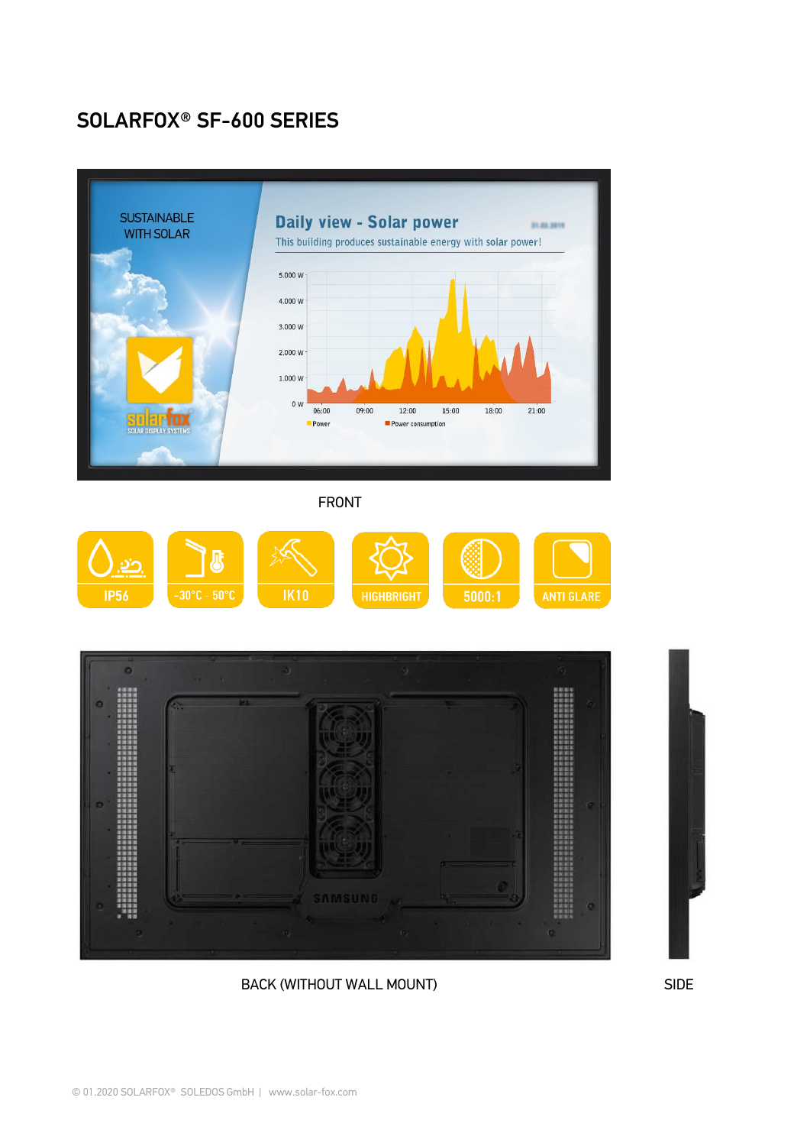## SOLARFOX® SF-600 SERIES



BACK (WITHOUT WALL MOUNT) SIDE